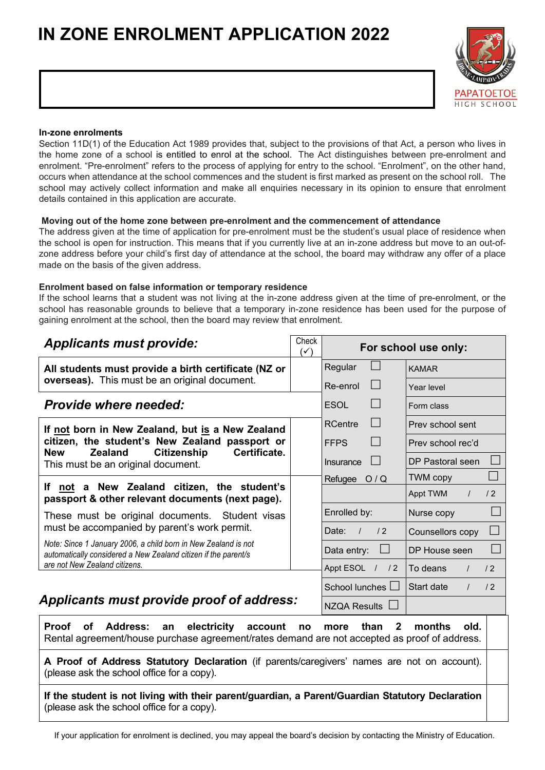# **IN ZONE ENROLMENT APPLICATION 2022**



#### **In-zone enrolments**

Section 11D(1) of the Education Act 1989 provides that, subject to the provisions of that Act, a person who lives in the home zone of a school is entitled to enrol at the school. The Act distinguishes between pre-enrolment and enrolment. "Pre-enrolment" refers to the process of applying for entry to the school. "Enrolment", on the other hand, occurs when attendance at the school commences and the student is first marked as present on the school roll. The school may actively collect information and make all enquiries necessary in its opinion to ensure that enrolment details contained in this application are accurate.

#### **Moving out of the home zone between pre-enrolment and the commencement of attendance**

The address given at the time of application for pre-enrolment must be the student's usual place of residence when the school is open for instruction. This means that if you currently live at an in-zone address but move to an out-ofzone address before your child's first day of attendance at the school, the board may withdraw any offer of a place made on the basis of the given address.

#### **Enrolment based on false information or temporary residence**

If the school learns that a student was not living at the in-zone address given at the time of pre-enrolment, or the school has reasonable grounds to believe that a temporary in-zone residence has been used for the purpose of gaining enrolment at the school, then the board may review that enrolment.

| <b>Applicants must provide:</b>                                                                                                                                    | Check<br>$(\checkmark)$ | For school use only:           |                              |  |  |  |
|--------------------------------------------------------------------------------------------------------------------------------------------------------------------|-------------------------|--------------------------------|------------------------------|--|--|--|
| All students must provide a birth certificate (NZ or                                                                                                               |                         | Regular                        | <b>KAMAR</b>                 |  |  |  |
| overseas). This must be an original document.                                                                                                                      |                         | Re-enrol                       | Year level                   |  |  |  |
| <b>Provide where needed:</b>                                                                                                                                       |                         | <b>ESOL</b>                    | Form class                   |  |  |  |
| If not born in New Zealand, but is a New Zealand                                                                                                                   |                         | <b>RCentre</b>                 | Prev school sent             |  |  |  |
| citizen, the student's New Zealand passport or<br>Certificate.<br><b>New</b><br><b>Zealand</b>                                                                     |                         | <b>FFPS</b>                    | Prev school rec'd            |  |  |  |
| <b>Citizenship</b><br>This must be an original document.                                                                                                           |                         | Insurance                      | DP Pastoral seen             |  |  |  |
|                                                                                                                                                                    |                         | Refugee O/Q                    | <b>TWM copy</b>              |  |  |  |
| If not a New Zealand citizen, the student's<br>passport & other relevant documents (next page).                                                                    |                         |                                | Appt TWM<br>/2<br>$\prime$   |  |  |  |
| These must be original documents. Student visas                                                                                                                    |                         | Enrolled by:                   | Nurse copy                   |  |  |  |
| must be accompanied by parent's work permit.                                                                                                                       |                         | Date:<br>/2<br>$\prime$        | Counsellors copy             |  |  |  |
| Note: Since 1 January 2006, a child born in New Zealand is not<br>automatically considered a New Zealand citizen if the parent/s                                   |                         | $\vert \ \vert$<br>Data entry: | DP House seen                |  |  |  |
| are not New Zealand citizens.                                                                                                                                      |                         | Appt ESOL / / 2                | To deans<br>/2               |  |  |  |
|                                                                                                                                                                    |                         | School lunches L               | Start date<br>/2<br>$\prime$ |  |  |  |
| Applicants must provide proof of address:                                                                                                                          |                         | NZQA Results $\Box$            |                              |  |  |  |
| <b>Address:</b><br>electricity account<br><b>Proof</b><br>of<br>an<br>Rental agreement/house purchase agreement/rates demand are not accepted as proof of address. | no                      | than<br>$\mathbf{2}$<br>more   | months<br>old.               |  |  |  |
| A Proof of Address Statutory Declaration (if parents/caregivers' names are not on account).<br>(please ask the school office for a copy).                          |                         |                                |                              |  |  |  |
| If the student is not living with their parent/guardian, a Parent/Guardian Statutory Declaration<br>(please ask the school office for a copy).                     |                         |                                |                              |  |  |  |

If your application for enrolment is declined, you may appeal the board's decision by contacting the Ministry of Education.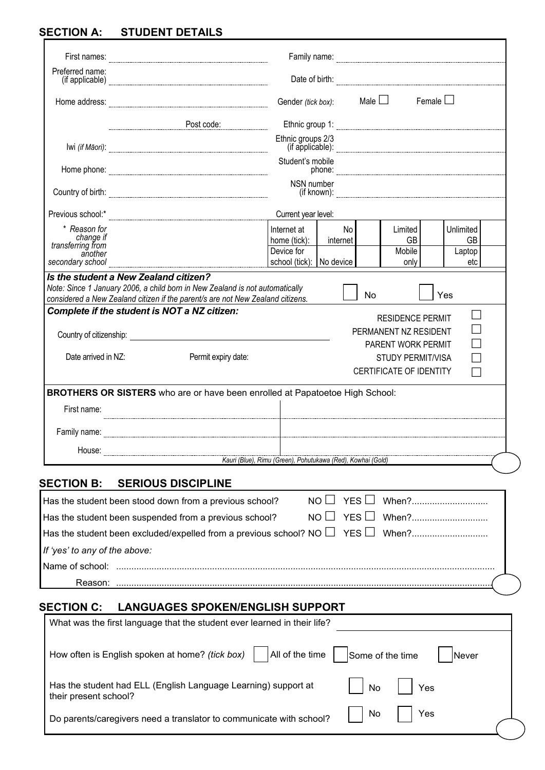## **SECTION A: STUDENT DETAILS**

| Preferred name:<br>(if applicable) <b>www.communications</b> (if applicable)            |                                         |                                                             |          |                  |                                                                        |                                                                                                                                                                                                                                      |     |
|-----------------------------------------------------------------------------------------|-----------------------------------------|-------------------------------------------------------------|----------|------------------|------------------------------------------------------------------------|--------------------------------------------------------------------------------------------------------------------------------------------------------------------------------------------------------------------------------------|-----|
| Home address:                                                                           |                                         | Gender (tick box):                                          |          | Male $\Box$      |                                                                        | Female $\Box$                                                                                                                                                                                                                        |     |
|                                                                                         | Post code:                              |                                                             |          |                  |                                                                        |                                                                                                                                                                                                                                      |     |
|                                                                                         |                                         | Ethnic groups 2/3                                           |          |                  |                                                                        | Ethnic group 1: <b>Constanting the Constantine Constanting of the Constantine Constanting Constanting Constanting Constanting Constanting Constanting Constanting Constanting Constanting Constanting Constanting Constanting Co</b> |     |
|                                                                                         |                                         |                                                             |          |                  |                                                                        |                                                                                                                                                                                                                                      |     |
|                                                                                         |                                         | Student's mobile                                            |          |                  |                                                                        |                                                                                                                                                                                                                                      |     |
| $\begin{minipage}{.4\linewidth} \textbf{Country of birth:} \end{minipage}$              |                                         | NSN number                                                  |          |                  |                                                                        |                                                                                                                                                                                                                                      |     |
|                                                                                         |                                         | Current year level:                                         |          |                  |                                                                        |                                                                                                                                                                                                                                      |     |
| * Reason for                                                                            |                                         | Internet at                                                 | No       |                  | Limited                                                                | Unlimited                                                                                                                                                                                                                            |     |
| change if<br>transferring from                                                          |                                         | home (tick):                                                | internet |                  | GB                                                                     |                                                                                                                                                                                                                                      | GB  |
| another<br>secondary school                                                             |                                         | Device for<br>school (tick): No device                      |          |                  | Mobile<br>only                                                         | Laptop                                                                                                                                                                                                                               | etc |
| Country of citizenship: example and country of citizenship:                             |                                         |                                                             |          |                  | <b>RESIDENCE PERMIT</b><br>PERMANENT NZ RESIDENT<br>PARENT WORK PERMIT |                                                                                                                                                                                                                                      |     |
| Date arrived in NZ:                                                                     | Permit expiry date:                     |                                                             |          |                  |                                                                        |                                                                                                                                                                                                                                      |     |
|                                                                                         |                                         |                                                             |          |                  | <b>STUDY PERMIT/VISA</b><br>CERTIFICATE OF IDENTITY                    |                                                                                                                                                                                                                                      |     |
| BROTHERS OR SISTERS who are or have been enrolled at Papatoetoe High School:            |                                         |                                                             |          |                  |                                                                        |                                                                                                                                                                                                                                      |     |
| First name:                                                                             |                                         |                                                             |          |                  |                                                                        |                                                                                                                                                                                                                                      |     |
|                                                                                         |                                         |                                                             |          |                  |                                                                        |                                                                                                                                                                                                                                      |     |
| House:                                                                                  |                                         |                                                             |          |                  |                                                                        |                                                                                                                                                                                                                                      |     |
|                                                                                         |                                         | Kauri (Blue), Rimu (Green), Pohutukawa (Red), Kowhai (Gold) |          |                  |                                                                        |                                                                                                                                                                                                                                      |     |
| <b>SECTION B:</b>                                                                       | <b>SERIOUS DISCIPLINE</b>               |                                                             |          |                  |                                                                        |                                                                                                                                                                                                                                      |     |
| Has the student been stood down from a previous school?                                 |                                         |                                                             | NO I     | YES $\Box$       |                                                                        | When?                                                                                                                                                                                                                                |     |
| Has the student been suspended from a previous school?                                  |                                         | NO.                                                         |          | YES              |                                                                        | When?                                                                                                                                                                                                                                |     |
| Has the student been excluded/expelled from a previous school? NO $\Box$ YES $\Box$     |                                         |                                                             |          |                  |                                                                        | When?                                                                                                                                                                                                                                |     |
| If 'yes' to any of the above:                                                           |                                         |                                                             |          |                  |                                                                        |                                                                                                                                                                                                                                      |     |
|                                                                                         |                                         |                                                             |          |                  |                                                                        |                                                                                                                                                                                                                                      |     |
|                                                                                         |                                         |                                                             |          |                  |                                                                        |                                                                                                                                                                                                                                      |     |
|                                                                                         |                                         |                                                             |          |                  |                                                                        |                                                                                                                                                                                                                                      |     |
| <b>SECTION C:</b>                                                                       | <b>LANGUAGES SPOKEN/ENGLISH SUPPORT</b> |                                                             |          |                  |                                                                        |                                                                                                                                                                                                                                      |     |
| What was the first language that the student ever learned in their life?                |                                         |                                                             |          |                  |                                                                        |                                                                                                                                                                                                                                      |     |
| How often is English spoken at home? (tick box)                                         |                                         | All of the time                                             |          | Some of the time |                                                                        | Never                                                                                                                                                                                                                                |     |
| Has the student had ELL (English Language Learning) support at<br>their present school? |                                         |                                                             |          | No               |                                                                        | Yes                                                                                                                                                                                                                                  |     |

Do parents/caregivers need a translator to communicate with school?  $\Box$  No  $\Box$  Yes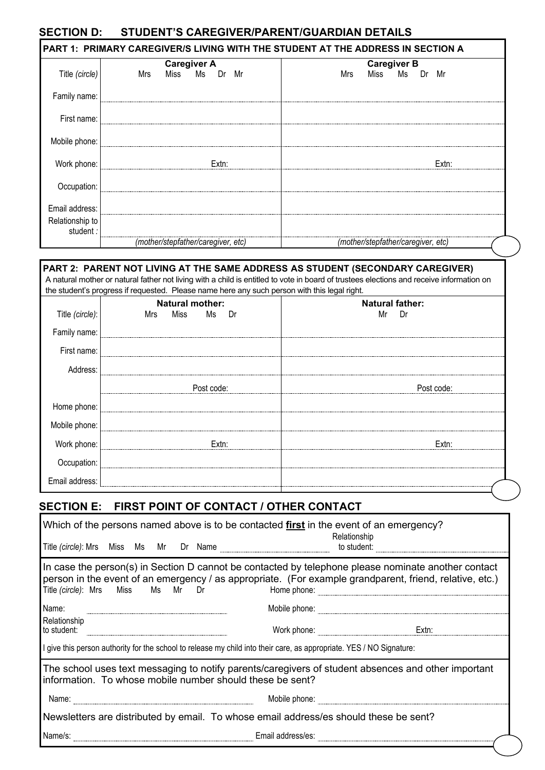### **SECTION D: STUDENT'S CAREGIVER/PARENT/GUARDIAN DETAILS**

|                              | <b>Caregiver A</b>                 | <b>Caregiver B</b>                 |
|------------------------------|------------------------------------|------------------------------------|
| Title (circle)               | Miss Ms Dr Mr<br>Mrs               | Miss Ms Dr Mr<br>Mrs               |
| Family name:                 |                                    |                                    |
| First name:                  |                                    |                                    |
| Mobile phone:                |                                    |                                    |
| Work phone:                  | $Extn$ :                           | $Extn$ :                           |
| Occupation:                  |                                    |                                    |
| Email address:               |                                    |                                    |
| Relationship to<br>student : |                                    |                                    |
|                              | (mother/stepfather/caregiver, etc) | (mother/stepfather/caregiver, etc) |

# **PART 2: PARENT NOT LIVING AT THE SAME ADDRESS AS STUDENT (SECONDARY CAREGIVER)**

A natural mother or natural father not living with a child is entitled to vote in board of trustees elections and receive information on the student's progress if requested. Please name here any such person with this legal right.

| Title (circle):<br>Family name: | <b>Natural mother:</b><br>Mrs Miss Ms Dr | <b>Natural father:</b><br>Mr Dr |
|---------------------------------|------------------------------------------|---------------------------------|
|                                 |                                          |                                 |
| First name:                     |                                          |                                 |
| Address:                        |                                          |                                 |
|                                 | Post code:                               | Post code:                      |
| Home phone:                     |                                          |                                 |
| Mobile phone:                   |                                          |                                 |
| Work phone:                     | Fxtn:                                    | Fytn <sup>.</sup>               |
| Occupation:                     |                                          |                                 |
| Email address:                  |                                          |                                 |

## **SECTION E: FIRST POINT OF CONTACT / OTHER CONTACT**

| Which of the persons named above is to be contacted first in the event of an emergency?<br>Relationship                                                                                                                                                                     |                                                                                       |  |  |  |  |                                                                                                                                                                  |       |  |  |  |
|-----------------------------------------------------------------------------------------------------------------------------------------------------------------------------------------------------------------------------------------------------------------------------|---------------------------------------------------------------------------------------|--|--|--|--|------------------------------------------------------------------------------------------------------------------------------------------------------------------|-------|--|--|--|
|                                                                                                                                                                                                                                                                             | to student:<br>Title (circle): Mrs Miss Ms Mr Dr Name                                 |  |  |  |  |                                                                                                                                                                  |       |  |  |  |
| In case the person(s) in Section D cannot be contacted by telephone please nominate another contact<br>person in the event of an emergency / as appropriate. (For example grandparent, friend, relative, etc.)<br>Title (circle): Mrs Miss<br>Ms Mr<br>Home phone:<br>Dr Dr |                                                                                       |  |  |  |  |                                                                                                                                                                  |       |  |  |  |
| Name:                                                                                                                                                                                                                                                                       |                                                                                       |  |  |  |  | Mobile phone:                                                                                                                                                    |       |  |  |  |
| Relationship<br>to student:                                                                                                                                                                                                                                                 |                                                                                       |  |  |  |  | Work phone:                                                                                                                                                      | Extn: |  |  |  |
|                                                                                                                                                                                                                                                                             |                                                                                       |  |  |  |  | I give this person authority for the school to release my child into their care, as appropriate. YES / NO Signature:                                             |       |  |  |  |
|                                                                                                                                                                                                                                                                             |                                                                                       |  |  |  |  | The school uses text messaging to notify parents/caregivers of student absences and other important<br>information. To whose mobile number should these be sent? |       |  |  |  |
| Name:                                                                                                                                                                                                                                                                       |                                                                                       |  |  |  |  | Mobile phone:                                                                                                                                                    |       |  |  |  |
|                                                                                                                                                                                                                                                                             | Newsletters are distributed by email. To whose email address/es should these be sent? |  |  |  |  |                                                                                                                                                                  |       |  |  |  |
| Name/s:                                                                                                                                                                                                                                                                     |                                                                                       |  |  |  |  | Email address/es:                                                                                                                                                |       |  |  |  |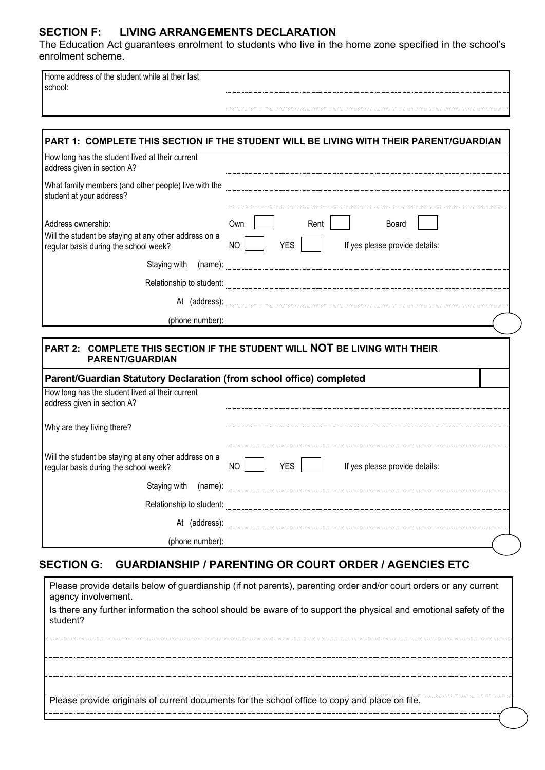### **SECTION F: LIVING ARRANGEMENTS DECLARATION**

The Education Act guarantees enrolment to students who live in the home zone specified in the school's enrolment scheme.

Home address of the student while at their last school:

|                                                                                                                                                        | PART 1: COMPLETE THIS SECTION IF THE STUDENT WILL BE LIVING WITH THEIR PARENT/GUARDIAN                                                                                                                                               |
|--------------------------------------------------------------------------------------------------------------------------------------------------------|--------------------------------------------------------------------------------------------------------------------------------------------------------------------------------------------------------------------------------------|
| How long has the student lived at their current<br>address given in section A?                                                                         |                                                                                                                                                                                                                                      |
| student at your address?                                                                                                                               | What family members (and other people) live with the <b>manual construction and all construction</b> and a strategy and a strategy and a strategy and a strategy and a strategy and a strategy and a strategy and a strategy and a   |
| Address ownership:<br>Will the student be staying at any other address on a<br>regular basis during the school week?                                   | Own<br>Rent  <br>Board<br>NO<br>YES  <br>If yes please provide details:                                                                                                                                                              |
|                                                                                                                                                        | Staying with (name): <b>contract the contract of the contract of the contract of the contract of the contract of the contract of the contract of the contract of the contract of the contract of the contract of the contract of</b> |
|                                                                                                                                                        | Relationship to student: <b>contract of the contract of the contract of the contract of the contract of the contract of the contract of the contract of the contract of the contract of the contract of the contract of the cont</b> |
|                                                                                                                                                        |                                                                                                                                                                                                                                      |
|                                                                                                                                                        |                                                                                                                                                                                                                                      |
| (phone number):                                                                                                                                        | PART 2: COMPLETE THIS SECTION IF THE STUDENT WILL <b>NOT</b> BE LIVING WITH THEIR                                                                                                                                                    |
| <b>PARENT/GUARDIAN</b>                                                                                                                                 |                                                                                                                                                                                                                                      |
| Parent/Guardian Statutory Declaration (from school office) completed<br>How long has the student lived at their current<br>address given in section A? |                                                                                                                                                                                                                                      |
|                                                                                                                                                        |                                                                                                                                                                                                                                      |
|                                                                                                                                                        | NO <sub>1</sub><br>  YES    <br>If yes please provide details:                                                                                                                                                                       |
|                                                                                                                                                        |                                                                                                                                                                                                                                      |
|                                                                                                                                                        |                                                                                                                                                                                                                                      |
| Why are they living there?<br>Will the student be staying at any other address on a<br>regular basis during the school week?                           |                                                                                                                                                                                                                                      |

## **SECTION G: GUARDIANSHIP / PARENTING OR COURT ORDER / AGENCIES ETC**

Please provide details below of guardianship (if not parents), parenting order and/or court orders or any current agency involvement.

Is there any further information the school should be aware of to support the physical and emotional safety of the student?

Please provide originals of current documents for the school office to copy and place on file.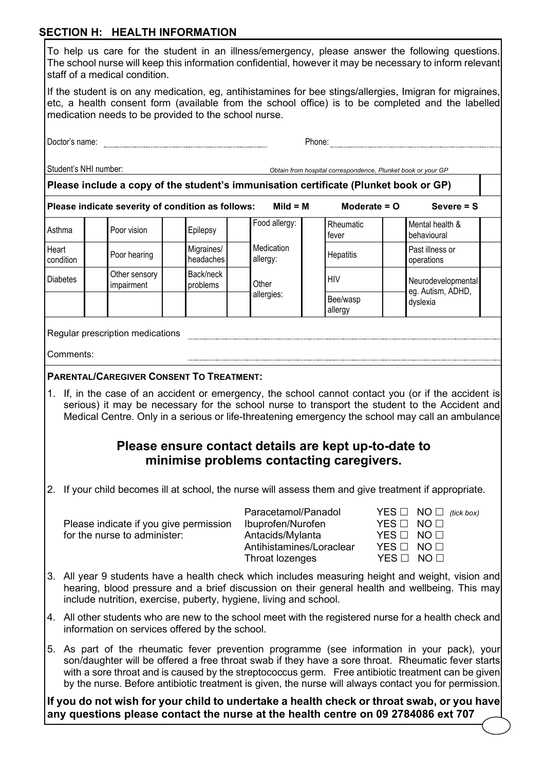### **SECTION H: HEALTH INFORMATION**

|                               |  |  |  |  | To help us care for the student in an illness/emergency, please answer the following questions.          |  |  |  |
|-------------------------------|--|--|--|--|----------------------------------------------------------------------------------------------------------|--|--|--|
|                               |  |  |  |  | The school nurse will keep this information confidential, however it may be necessary to inform relevant |  |  |  |
| staff of a medical condition. |  |  |  |  |                                                                                                          |  |  |  |

If the student is on any medication, eg, antihistamines for bee stings/allergies, Imigran for migraines, etc, a health consent form (available from the school office) is to be completed and the labelled medication needs to be provided to the school nurse.

| Doctor's name:<br>Phone: |                                                                                                    |                                                                                      |                                                                                                  |               |                                                                                                             |                                                              |                                        |                                                                                                                                                                                                                                                                                                                                                                                                                  |  |
|--------------------------|----------------------------------------------------------------------------------------------------|--------------------------------------------------------------------------------------|--------------------------------------------------------------------------------------------------|---------------|-------------------------------------------------------------------------------------------------------------|--------------------------------------------------------------|----------------------------------------|------------------------------------------------------------------------------------------------------------------------------------------------------------------------------------------------------------------------------------------------------------------------------------------------------------------------------------------------------------------------------------------------------------------|--|
|                          | Student's NHI number:                                                                              |                                                                                      |                                                                                                  |               |                                                                                                             | Obtain from hospital correspondence, Plunket book or your GP |                                        |                                                                                                                                                                                                                                                                                                                                                                                                                  |  |
|                          |                                                                                                    | Please include a copy of the student's immunisation certificate (Plunket book or GP) |                                                                                                  |               |                                                                                                             |                                                              |                                        |                                                                                                                                                                                                                                                                                                                                                                                                                  |  |
|                          |                                                                                                    | Please indicate severity of condition as follows:                                    |                                                                                                  |               | $Mild = M$                                                                                                  | Moderate $= 0$                                               |                                        | Severe $=$ S                                                                                                                                                                                                                                                                                                                                                                                                     |  |
|                          | Asthma<br>Poor vision<br>Epilepsy<br>Migraines/<br>Heart<br>Poor hearing<br>headaches<br>condition |                                                                                      |                                                                                                  | Food allergy: | Rheumatic<br>fever                                                                                          |                                                              | Mental health &<br>behavioural         |                                                                                                                                                                                                                                                                                                                                                                                                                  |  |
|                          |                                                                                                    |                                                                                      | allergy:                                                                                         | Medication    | Hepatitis                                                                                                   |                                                              | Past illness or<br>operations          |                                                                                                                                                                                                                                                                                                                                                                                                                  |  |
|                          | <b>Diabetes</b>                                                                                    | Other sensory<br>impairment                                                          | Back/neck<br>problems                                                                            | Other         |                                                                                                             | <b>HIV</b>                                                   |                                        | Neurodevelopmental<br>eg. Autism, ADHD,                                                                                                                                                                                                                                                                                                                                                                          |  |
|                          |                                                                                                    |                                                                                      |                                                                                                  |               | allergies:                                                                                                  | Bee/wasp<br>allergy                                          |                                        | dyslexia                                                                                                                                                                                                                                                                                                                                                                                                         |  |
|                          |                                                                                                    | Regular prescription medications                                                     |                                                                                                  |               |                                                                                                             |                                                              |                                        |                                                                                                                                                                                                                                                                                                                                                                                                                  |  |
|                          | Comments:                                                                                          |                                                                                      |                                                                                                  |               |                                                                                                             |                                                              |                                        |                                                                                                                                                                                                                                                                                                                                                                                                                  |  |
|                          |                                                                                                    | <b>PARENTAL/CAREGIVER CONSENT TO TREATMENT:</b>                                      |                                                                                                  |               |                                                                                                             |                                                              |                                        |                                                                                                                                                                                                                                                                                                                                                                                                                  |  |
|                          |                                                                                                    |                                                                                      | Please ensure contact details are kept up-to-date to<br>minimise problems contacting caregivers. |               |                                                                                                             |                                                              |                                        | 1. If, in the case of an accident or emergency, the school cannot contact you (or if the accident is<br>serious) it may be necessary for the school nurse to transport the student to the Accident and<br>Medical Centre. Only in a serious or life-threatening emergency the school may call an ambulance                                                                                                       |  |
|                          |                                                                                                    |                                                                                      |                                                                                                  |               |                                                                                                             |                                                              |                                        | 2. If your child becomes ill at school, the nurse will assess them and give treatment if appropriate.                                                                                                                                                                                                                                                                                                            |  |
|                          |                                                                                                    | Please indicate if you give permission<br>for the nurse to administer:               |                                                                                                  |               | Paracetamol/Panadol<br>Ibuprofen/Nurofen<br>Antacids/Mylanta<br>Antihistamines/Loraclear<br>Throat lozenges |                                                              | YES □<br>$YES$ $\square$<br>YES $\Box$ | $NO \Box$ (tick box)<br>NO <sub>1</sub><br>NO <sub>1</sub><br>$YES \Box NO \Box$<br>YES □ NO □                                                                                                                                                                                                                                                                                                                   |  |
|                          |                                                                                                    | include nutrition, exercise, puberty, hygiene, living and school.                    |                                                                                                  |               |                                                                                                             |                                                              |                                        | 3. All year 9 students have a health check which includes measuring height and weight, vision and<br>hearing, blood pressure and a brief discussion on their general health and wellbeing. This may                                                                                                                                                                                                              |  |
|                          |                                                                                                    | information on services offered by the school.                                       |                                                                                                  |               |                                                                                                             |                                                              |                                        | 4. All other students who are new to the school meet with the registered nurse for a health check and                                                                                                                                                                                                                                                                                                            |  |
|                          |                                                                                                    |                                                                                      |                                                                                                  |               |                                                                                                             |                                                              |                                        | 5. As part of the rheumatic fever prevention programme (see information in your pack), your<br>son/daughter will be offered a free throat swab if they have a sore throat. Rheumatic fever starts<br>with a sore throat and is caused by the streptococcus germ. Free antibiotic treatment can be given<br>by the nurse. Before antibiotic treatment is given, the nurse will always contact you for permission. |  |
|                          |                                                                                                    |                                                                                      |                                                                                                  |               |                                                                                                             |                                                              |                                        | If you do not wish for your child to undertake a health check or throat swab, or you have                                                                                                                                                                                                                                                                                                                        |  |

**any questions please contact the nurse at the health centre on 09 2784086 ext 707**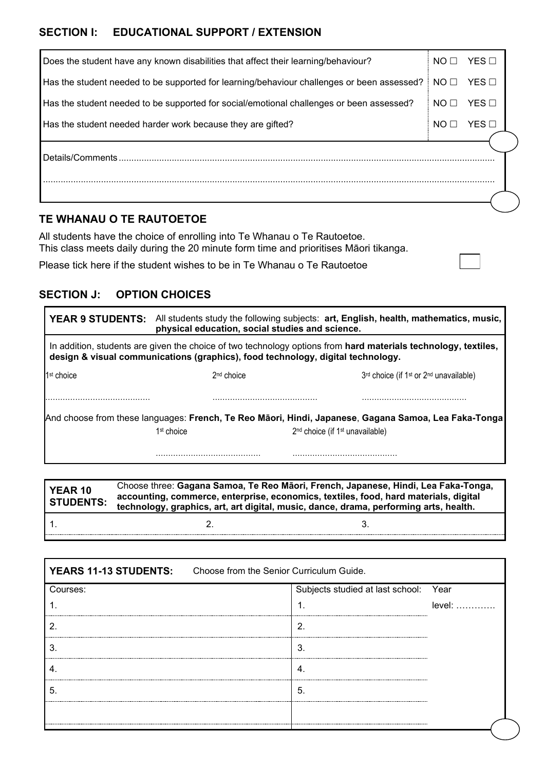## **SECTION I: EDUCATIONAL SUPPORT / EXTENSION**

| Does the student have any known disabilities that affect their learning/behaviour?         | NO <sub>1</sub> | $YES$ $\square$ |  |
|--------------------------------------------------------------------------------------------|-----------------|-----------------|--|
| Has the student needed to be supported for learning/behaviour challenges or been assessed? | NO <sub>1</sub> | YES             |  |
| Has the student needed to be supported for social/emotional challenges or been assessed?   | NO <sub>1</sub> | $YES$ $\square$ |  |
| Has the student needed harder work because they are gifted?                                | NO <sub>1</sub> | YES             |  |
| Details/Comments.                                                                          |                 |                 |  |
|                                                                                            |                 |                 |  |

## **TE WHANAU O TE RAUTOETOE**

All students have the choice of enrolling into Te Whanau o Te Rautoetoe. This class meets daily during the 20 minute form time and prioritises Māori tikanga.

Please tick here if the student wishes to be in Te Whanau o Te Rautoetoe

## **SECTION J: OPTION CHOICES**

| <b>YEAR 9 STUDENTS:</b>                                                                                                                                                                           | physical education, social studies and science. | All students study the following subjects: art, English, health, mathematics, music,                 |  |  |  |  |  |  |  |  |  |
|---------------------------------------------------------------------------------------------------------------------------------------------------------------------------------------------------|-------------------------------------------------|------------------------------------------------------------------------------------------------------|--|--|--|--|--|--|--|--|--|
| In addition, students are given the choice of two technology options from hard materials technology, textiles,<br>design & visual communications (graphics), food technology, digital technology. |                                                 |                                                                                                      |  |  |  |  |  |  |  |  |  |
| 1 <sup>st</sup> choice                                                                                                                                                                            | 2 <sup>nd</sup> choice                          | 3rd choice (if 1 <sup>st</sup> or 2 <sup>nd</sup> unavailable)                                       |  |  |  |  |  |  |  |  |  |
|                                                                                                                                                                                                   |                                                 |                                                                                                      |  |  |  |  |  |  |  |  |  |
|                                                                                                                                                                                                   |                                                 | And choose from these languages: French, Te Reo Māori, Hindi, Japanese, Gagana Samoa, Lea Faka-Tonga |  |  |  |  |  |  |  |  |  |
|                                                                                                                                                                                                   | 1 <sup>st</sup> choice                          | 2 <sup>nd</sup> choice (if 1 <sup>st</sup> unavailable)                                              |  |  |  |  |  |  |  |  |  |
|                                                                                                                                                                                                   |                                                 |                                                                                                      |  |  |  |  |  |  |  |  |  |

**YEAR 10 STUDENTS:** Choose three: **Gagana Samoa, Te Reo Māori, French, Japanese, Hindi, Lea Faka-Tonga, accounting, commerce, enterprise, economics, textiles, food, hard materials, digital technology, graphics, art, art digital, music, dance, drama, performing arts, health.** 1.  $2.$  3.

| <b>YEARS 11-13 STUDENTS:</b> Choose from the Senior Curriculum Guide. |                                       |          |
|-----------------------------------------------------------------------|---------------------------------------|----------|
| Courses:                                                              | Subjects studied at last school: Year |          |
|                                                                       |                                       | $level:$ |
|                                                                       | 2                                     |          |
| 3                                                                     | 3                                     |          |
| 4.                                                                    | 4.                                    |          |
| 5                                                                     | 5.                                    |          |
| -----------                                                           |                                       |          |
|                                                                       |                                       |          |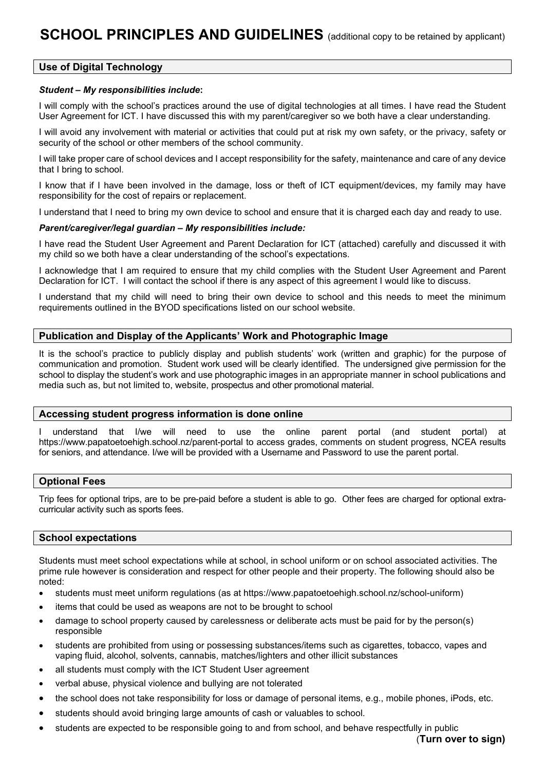#### **Use of Digital Technology**

#### *Student – My responsibilities include***:**

I will comply with the school's practices around the use of digital technologies at all times. I have read the Student User Agreement for ICT. I have discussed this with my parent/caregiver so we both have a clear understanding.

I will avoid any involvement with material or activities that could put at risk my own safety, or the privacy, safety or security of the school or other members of the school community.

I will take proper care of school devices and I accept responsibility for the safety, maintenance and care of any device that I bring to school.

I know that if I have been involved in the damage, loss or theft of ICT equipment/devices, my family may have responsibility for the cost of repairs or replacement.

I understand that I need to bring my own device to school and ensure that it is charged each day and ready to use.

#### *Parent/caregiver/legal guardian – My responsibilities include:*

I have read the Student User Agreement and Parent Declaration for ICT (attached) carefully and discussed it with my child so we both have a clear understanding of the school's expectations.

I acknowledge that I am required to ensure that my child complies with the Student User Agreement and Parent Declaration for ICT. I will contact the school if there is any aspect of this agreement I would like to discuss.

I understand that my child will need to bring their own device to school and this needs to meet the minimum requirements outlined in the BYOD specifications listed on our school website.

#### **Publication and Display of the Applicants' Work and Photographic Image**

It is the school's practice to publicly display and publish students' work (written and graphic) for the purpose of communication and promotion. Student work used will be clearly identified. The undersigned give permission for the school to display the student's work and use photographic images in an appropriate manner in school publications and media such as, but not limited to, website, prospectus and other promotional material.

#### **Accessing student progress information is done online**

I understand that I/we will need to use the online parent portal (and student portal) at https://www.papatoetoehigh.school.nz/parent-portal to access grades, comments on student progress, NCEA results for seniors, and attendance. I/we will be provided with a Username and Password to use the parent portal.

#### **Optional Fees**

Trip fees for optional trips, are to be pre-paid before a student is able to go. Other fees are charged for optional extracurricular activity such as sports fees.

#### **School expectations**

Students must meet school expectations while at school, in school uniform or on school associated activities. The prime rule however is consideration and respect for other people and their property. The following should also be noted:

- students must meet uniform regulations (as at https://www.papatoetoehigh.school.nz/school-uniform)
- items that could be used as weapons are not to be brought to school
- damage to school property caused by carelessness or deliberate acts must be paid for by the person(s) responsible
- students are prohibited from using or possessing substances/items such as cigarettes, tobacco, vapes and vaping fluid, alcohol, solvents, cannabis, matches/lighters and other illicit substances
- all students must comply with the ICT Student User agreement
- verbal abuse, physical violence and bullying are not tolerated
- the school does not take responsibility for loss or damage of personal items, e.g., mobile phones, iPods, etc.
- students should avoid bringing large amounts of cash or valuables to school.
- students are expected to be responsible going to and from school, and behave respectfully in public

(**Turn over to sign)**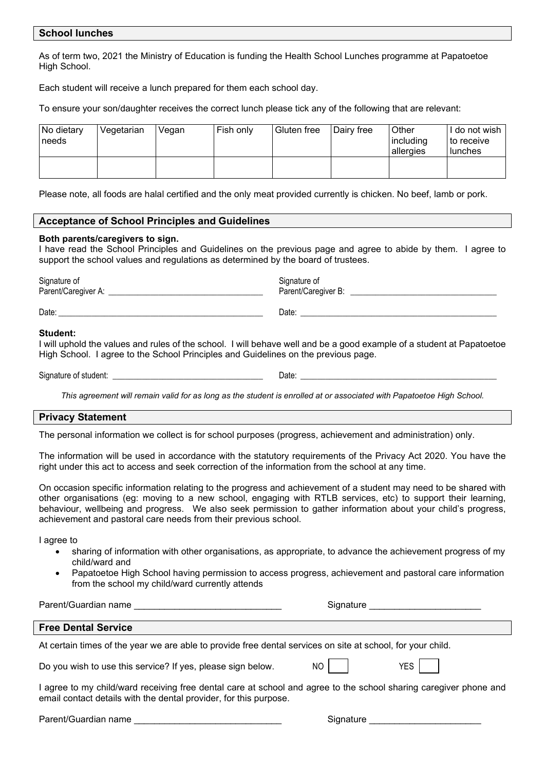#### **School lunches**

As of term two, 2021 the Ministry of Education is funding the Health School Lunches programme at Papatoetoe High School.

Each student will receive a lunch prepared for them each school day.

To ensure your son/daughter receives the correct lunch please tick any of the following that are relevant:

| No dietary<br>needs | Vegetarian | Vegan | Fish only | Gluten free | <b>I</b> Dairy free | Other<br>including<br>allergies | ' do not wish<br>∣ to receive<br>lunches |
|---------------------|------------|-------|-----------|-------------|---------------------|---------------------------------|------------------------------------------|
|                     |            |       |           |             |                     |                                 |                                          |

Please note, all foods are halal certified and the only meat provided currently is chicken. No beef, lamb or pork.

#### **Acceptance of School Principles and Guidelines**

#### **Both parents/caregivers to sign.**

I have read the School Principles and Guidelines on the previous page and agree to abide by them. I agree to support the school values and regulations as determined by the board of trustees.

Signature of Signature of Signature of Signature of Signature of Signature of Signature of Signature of Signature of Signature of Signature of Signature of Signature of Signature of Signature of Signature of Signature of S Parent/Caregiver A: \_\_\_\_\_\_\_\_\_\_\_\_\_\_\_\_\_\_\_\_\_\_\_\_\_\_\_\_\_\_\_\_\_\_\_\_\_ Parent/Caregiver B: \_\_\_\_\_\_\_\_\_\_\_\_\_\_\_\_\_\_\_\_\_\_\_\_\_\_\_\_\_\_\_\_\_\_\_

Date: \_\_\_\_\_\_\_\_\_\_\_\_\_\_\_\_\_\_\_\_\_\_\_\_\_\_\_\_\_\_\_\_\_\_\_\_\_\_\_\_\_\_\_\_\_\_\_\_\_ Date: \_\_\_\_\_\_\_\_\_\_\_\_\_\_\_\_\_\_\_\_\_\_\_\_\_\_\_\_\_\_\_\_\_\_\_\_\_\_\_\_\_\_\_\_\_\_\_

#### **Student:**

I will uphold the values and rules of the school. I will behave well and be a good example of a student at Papatoetoe High School. I agree to the School Principles and Guidelines on the previous page.

Signature of student: example of student: example of student: example of  $\Box$  at  $\Box$ 

*This agreement will remain valid for as long as the student is enrolled at or associated with Papatoetoe High School.*

#### **Privacy Statement**

The personal information we collect is for school purposes (progress, achievement and administration) only.

The information will be used in accordance with the statutory requirements of the Privacy Act 2020. You have the right under this act to access and seek correction of the information from the school at any time.

On occasion specific information relating to the progress and achievement of a student may need to be shared with other organisations (eg: moving to a new school, engaging with RTLB services, etc) to support their learning, behaviour, wellbeing and progress. We also seek permission to gather information about your child's progress, achievement and pastoral care needs from their previous school.

I agree to

- sharing of information with other organisations, as appropriate, to advance the achievement progress of my child/ward and
- Papatoetoe High School having permission to access progress, achievement and pastoral care information from the school my child/ward currently attends

Parent/Guardian name \_\_\_\_\_\_\_\_\_\_\_\_\_\_\_\_\_\_\_\_\_\_\_\_\_\_\_\_\_ Signature \_\_\_\_\_\_\_\_\_\_\_\_\_\_\_\_\_\_\_\_\_\_ **Free Dental Service** At certain times of the year we are able to provide free dental services on site at school, for your child. Do you wish to use this service? If yes, please sign below. NO NO YES I agree to my child/ward receiving free dental care at school and agree to the school sharing caregiver phone and email contact details with the dental provider, for this purpose.

Parent/Guardian name \_\_\_\_\_\_\_\_\_\_\_\_\_\_\_\_\_\_\_\_\_\_\_\_\_\_\_\_\_ Signature \_\_\_\_\_\_\_\_\_\_\_\_\_\_\_\_\_\_\_\_\_\_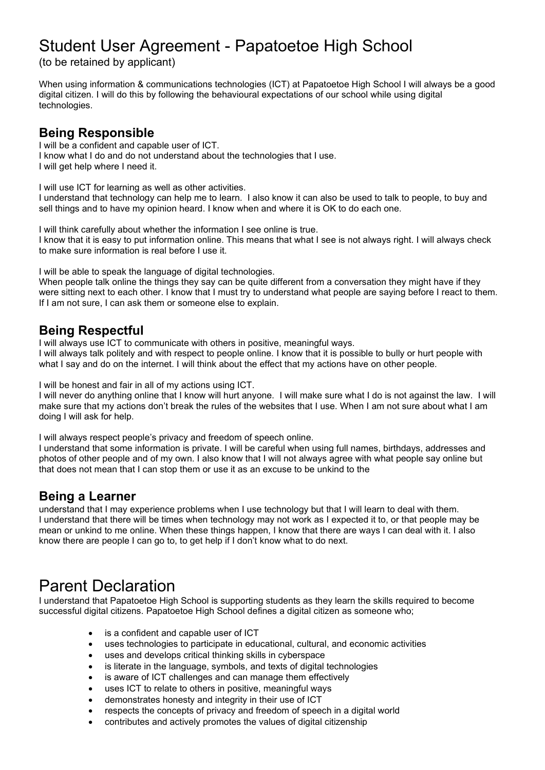# Student User Agreement - Papatoetoe High School

(to be retained by applicant)

When using information & communications technologies (ICT) at Papatoetoe High School I will always be a good digital citizen. I will do this by following the behavioural expectations of our school while using digital technologies.

# **Being Responsible**

I will be a confident and capable user of ICT. I know what I do and do not understand about the technologies that I use. I will get help where I need it.

I will use ICT for learning as well as other activities.

I understand that technology can help me to learn. I also know it can also be used to talk to people, to buy and sell things and to have my opinion heard. I know when and where it is OK to do each one.

I will think carefully about whether the information I see online is true. I know that it is easy to put information online. This means that what I see is not always right. I will always check to make sure information is real before I use it.

I will be able to speak the language of digital technologies.

When people talk online the things they say can be quite different from a conversation they might have if they were sitting next to each other. I know that I must try to understand what people are saying before I react to them. If I am not sure, I can ask them or someone else to explain.

## **Being Respectful**

I will always use ICT to communicate with others in positive, meaningful ways.

I will always talk politely and with respect to people online. I know that it is possible to bully or hurt people with what I say and do on the internet. I will think about the effect that my actions have on other people.

I will be honest and fair in all of my actions using ICT.

I will never do anything online that I know will hurt anyone. I will make sure what I do is not against the law. I will make sure that my actions don't break the rules of the websites that I use. When I am not sure about what I am doing I will ask for help.

I will always respect people's privacy and freedom of speech online.

I understand that some information is private. I will be careful when using full names, birthdays, addresses and photos of other people and of my own. I also know that I will not always agree with what people say online but that does not mean that I can stop them or use it as an excuse to be unkind to the

## **Being a Learner**

understand that I may experience problems when I use technology but that I will learn to deal with them. I understand that there will be times when technology may not work as I expected it to, or that people may be mean or unkind to me online. When these things happen, I know that there are ways I can deal with it. I also know there are people I can go to, to get help if I don't know what to do next.

# Parent Declaration

I understand that Papatoetoe High School is supporting students as they learn the skills required to become successful digital citizens. Papatoetoe High School defines a digital citizen as someone who;

- is a confident and capable user of ICT
- uses technologies to participate in educational, cultural, and economic activities
- uses and develops critical thinking skills in cyberspace
- is literate in the language, symbols, and texts of digital technologies
- is aware of ICT challenges and can manage them effectively
- uses ICT to relate to others in positive, meaningful ways
- demonstrates honesty and integrity in their use of ICT
- respects the concepts of privacy and freedom of speech in a digital world
- contributes and actively promotes the values of digital citizenship